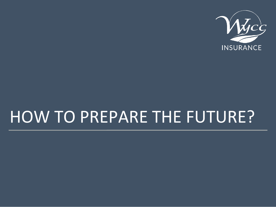

# HOW TO PREPARE THE FUTURE?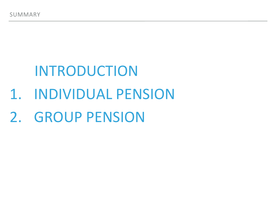# 1. INDIVIDUAL PENSION INTRODUCTION

### 2. GROUP PENSION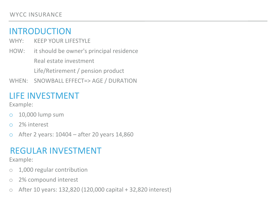#### INTRODUCTION

WHY: KEEP YOUR LIFESTYLE

HOW: it should be owner's principal residence

Real estate investment

Life/Retirement / pension product

WHEN: SNOWBALL EFFECT=> AGE / DURATION

#### LIFE INVESTMENT

Example:

- o 10,000 lump sum
- o 2% interest
- o After 2 years: 10404 after 20 years 14,860

#### REGULAR INVESTMENT

Example:

- o 1,000 regular contribution
- o 2% compound interest
- o After 10 years: 132,820 (120,000 capital + 32,820 interest)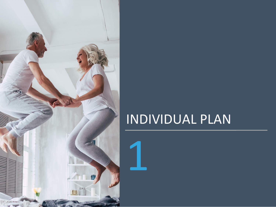

## INDIVIDUAL PLAN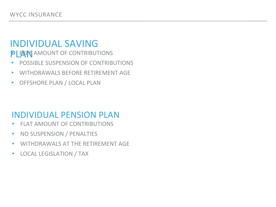#### INDIVIDUAL SAVING

PLAN AMOUNT OF CONTRIBUTIONS

- ▶ POSSIBLE SUSPENSION OF CONTRIBUTIONS
- ▸ WITHDRAWALS BEFORE RETIREMENT AGE
- ▶ OFFSHORE PLAN / LOCAL PLAN

#### INDIVIDUAL PENSION PLAN

- ▸ FLAT AMOUNT OF CONTRIBUTIONS
- ▸ NO SUSPENSION / PENALTIES
- ▸ WITHDRAWALS AT THE RETIREMENT AGE
- ▸ LOCAL LEGISLATION / TAX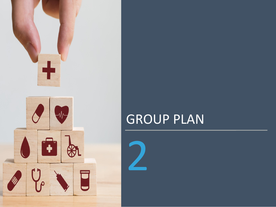

### GROUP PLAN

2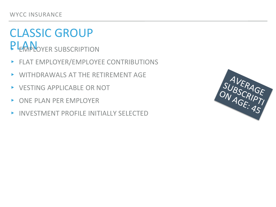### CLASSIC GROUP PLANOYER SUBSCRIPTION

- ▸ FLAT EMPLOYER/EMPLOYEE CONTRIBUTIONS
- ▸ WITHDRAWALS AT THE RETIREMENT AGE
- ▸ VESTING APPLICABLE OR NOT
- ▸ ONE PLAN PER EMPLOYER
- ▸ INVESTMENT PROFILE INITIALLY SELECTED

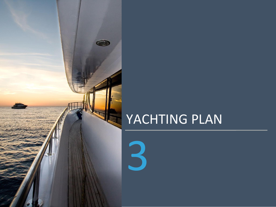

## YACHTING PLAN

3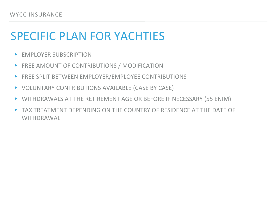### SPECIFIC PLAN FOR YACHTIES

- ▸ EMPLOYER SUBSCRIPTION
- ▶ FREE AMOUNT OF CONTRIBUTIONS / MODIFICATION
- ▸ FREE SPLIT BETWEEN EMPLOYER/EMPLOYEE CONTRIBUTIONS
- ▸ VOLUNTARY CONTRIBUTIONS AVAILABLE (CASE BY CASE)
- ▸ WITHDRAWALS AT THE RETIREMENT AGE OR BEFORE IF NECESSARY (55 ENIM)
- ▸ TAX TREATMENT DEPENDING ON THE COUNTRY OF RESIDENCE AT THE DATE OF WITHDRAWAL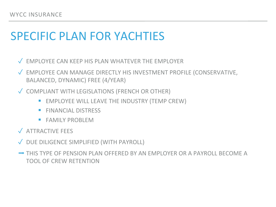### SPECIFIC PLAN FOR YACHTIES

- ✓ EMPLOYEE CAN KEEP HIS PLAN WHATEVER THE EMPLOYER
- ✓ EMPLOYEE CAN MANAGE DIRECTLY HIS INVESTMENT PROFILE (CONSERVATIVE, BALANCED, DYNAMIC) FREE (4/YEAR)
- ✓ COMPLIANT WITH LEGISLATIONS (FRENCH OR OTHER)
	- **EMPLOYEE WILL LEAVE THE INDUSTRY (TEMP CREW)**
	- **FINANCIAL DISTRESS**
	- **E** FAMILY PROBLEM
- ✓ ATTRACTIVE FEES
- ✓ DUE DILIGENCE SIMPLIFIED (WITH PAYROLL)
- → THIS TYPE OF PENSION PLAN OFFERED BY AN EMPLOYER OR A PAYROLL BECOME A TOOL OF CREW RETENTION